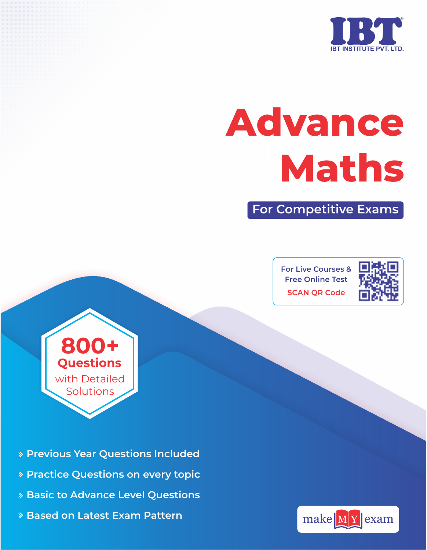

# **Advance Maths**

**For Competitive Exams**

**For Live Courses & Free Online Test SCAN QR Code**



**800+ Questions**  with Detailed Solutions

- **Previous Year Questions Included**
- **Practice Questions on every topic**
- **Basic to Advance Level Questions**
- **Based on Latest Exam Pattern**

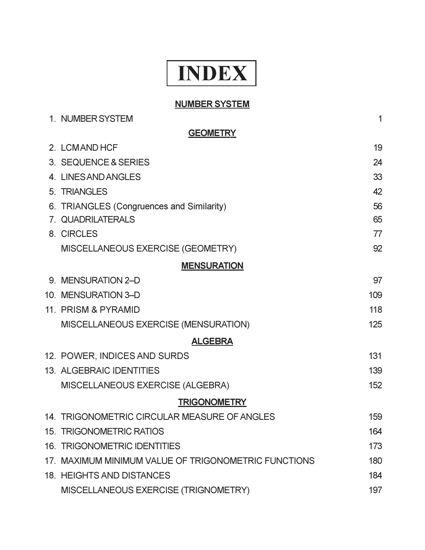## **INDEX**

## **NUMBER SYSTEM**

| 1. NUMBER SYSTEM                                     | 1   |
|------------------------------------------------------|-----|
| <b>GEOMETRY</b>                                      |     |
| 2. LCMAND HCF                                        | 19  |
| 3. SEQUENCE & SERIES                                 | 24  |
| 4. LINES AND ANGLES                                  | 33  |
| 5. TRIANGLES                                         | 42  |
| 6. TRIANGLES (Congruences and Similarity)            | 56  |
| 7. QUADRILATERALS                                    | 65  |
| 8. CIRCLES                                           | 77  |
| MISCELLANEOUS EXERCISE (GEOMETRY)                    | 92  |
| <b>MENSURATION</b>                                   |     |
| 9. MENSURATION 2-D                                   | 97  |
| 10. MENSURATION 3-D                                  | 109 |
| 11. PRISM & PYRAMID                                  | 118 |
| MISCELLANEOUS EXERCISE (MENSURATION)                 | 125 |
| <b>ALGEBRA</b>                                       |     |
| 12. POWER, INDICES AND SURDS                         | 131 |
| 13. ALGEBRAIC IDENTITIES                             | 139 |
| MISCELLANEOUS EXERCISE (ALGEBRA)                     | 152 |
| <b>TRIGONOMETRY</b>                                  |     |
| 14. TRIGONOMETRIC CIRCULAR MEASURE OF ANGLES         | 159 |
| 15. TRIGONOMETRIC RATIOS                             | 164 |
| <b>16. TRIGONOMETRIC IDENTITIES</b>                  | 173 |
| 17. MAXIMUM MINIMUM VALUE OF TRIGONOMETRIC FUNCTIONS | 180 |
| 18. HEIGHTS AND DISTANCES                            | 184 |
| MISCELLANEOUS EXERCISE (TRIGNOMETRY)                 | 197 |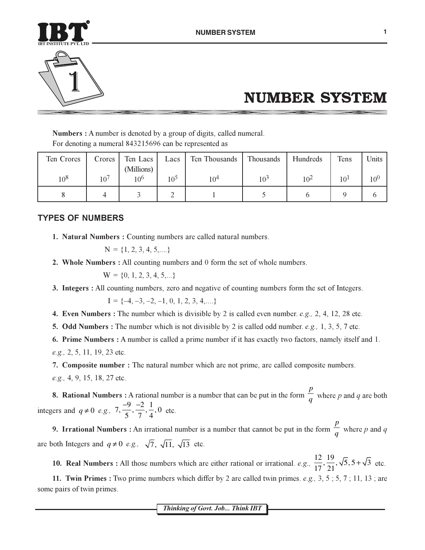



## **NUMBER SYSTEM**

**Numbers:** A number is denoted by a group of digits, called numeral. For denoting a numeral 843215696 can be represented as

| Ten Crores | Crores       | Ten Lacs        | Lacs            | Ten Thousands | Thousands | Hundreds | Tens            | Units    |
|------------|--------------|-----------------|-----------------|---------------|-----------|----------|-----------------|----------|
|            |              | (Millions)      |                 |               |           |          |                 |          |
| $10^{8}$   | $10^{\circ}$ | 10 <sup>6</sup> | 10 <sup>5</sup> | $10^{4}$      | $10^3$    | $10^{2}$ | 10 <sup>1</sup> | $10^{0}$ |
|            |              |                 |                 |               |           |          |                 |          |

## **TYPES OF NUMBERS**

1. Natural Numbers: Counting numbers are called natural numbers.

 $N = \{1, 2, 3, 4, 5, ...\}$ 

2. Whole Numbers : All counting numbers and 0 form the set of whole numbers.

$$
W = \{0, 1, 2, 3, 4, 5, \ldots\}
$$

3. Integers: All counting numbers, zero and negative of counting numbers form the set of Integers.

$$
I = \{-4, -3, -2, -1, 0, 1, 2, 3, 4, \dots\}
$$

4. Even Numbers : The number which is divisible by 2 is called even number. e.g., 2, 4, 12, 28 etc.

**5.** Odd Numbers : The number which is not divisible by 2 is called odd number. e.g., 1, 3, 5, 7 etc.

6. Prime Numbers: A number is called a prime number if it has exactly two factors, namely itself and 1. e.g., 2, 5, 11, 19, 23 etc.

7. Composite number: The natural number which are not prime, are called composite numbers. e.g., 4, 9, 15, 18, 27 etc.

**8. Rational Numbers :** A rational number is a number that can be put in the form  $\frac{p}{q}$  where p and q are both integers and  $q \neq 0$  e.g.,  $7, \frac{-9}{5}, \frac{-2}{7}, \frac{1}{4}, 0$  etc.

**9. Irrational Numbers :** An irrational number is a number that cannot be put in the form  $\frac{p}{q}$  where p and q are both Integers and  $q \neq 0$  e.g.,  $\sqrt{7}$ ,  $\sqrt{11}$ ,  $\sqrt{13}$  etc.

10. Real Numbers : All those numbers which are either rational or irrational. e.g.,  $\frac{12}{17}, \frac{19}{21}, \sqrt{5}, 5 + \sqrt{3}$  etc.

11. Twin Primes: Two prime numbers which differ by 2 are called twin primes. e.g., 3, 5; 5, 7; 11, 13; are some pairs of twin primes.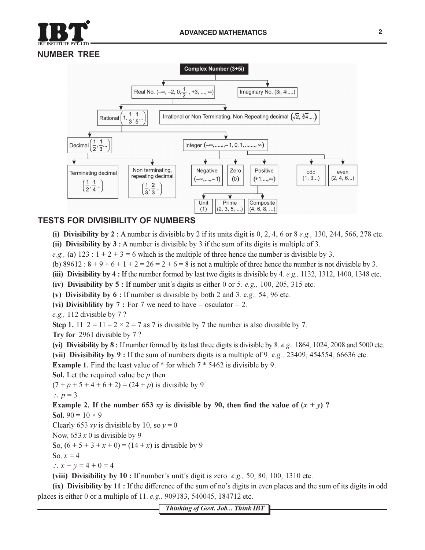



## **TESTS FOR DIVISIBILITY OF NUMBERS**

- (i) Divisibility by 2 : A number is divisible by 2 if its units digit is 0, 2, 4, 6 or 8 *e.g.*, 130, 244, 566, 278 etc.
- (ii) Divisibility by  $3:$  A number is divisible by 3 if the sum of its digits is multiple of 3.
- e.g., (a)  $123 : 1 + 2 + 3 = 6$  which is the multiple of three hence the number is divisible by 3.
- (b)  $89612 : 8 + 9 + 6 + 1 + 2 = 26 = 2 + 6 = 8$  is not a multiple of three hence the number is not divisible by 3.
- (iii) Divisibility by  $4:$  If the number formed by last two digits is divisible by  $4.$  e.g., 1132, 1312, 1400, 1348 etc.
- (iv) Divisibility by 5 : If number unit's digits is either 0 or 5, e.g., 100, 205, 315 etc.
- (v) Divisibility by  $6:$  If number is divisible by both 2 and 3. e.g., 54, 96 etc.
- (vi) Divisibility by 7 : For 7 we need to have osculator 2.
- e.g., 112 divisible by  $7$  ?
- Step 1.  $\underline{11}$   $\underline{2} = 11 2 \times 2 = 7$  as 7 is divisible by 7 the number is also divisible by 7.
- Try for 2961 divisible by 7?
- (vi) Divisibility by  $8:$  If number formed by its last three digits is divisible by  $8.$  e.g., 1864, 1024, 2008 and 5000 etc.
- (vii) Divisibility by 9: If the sum of numbers digits is a multiple of 9. e.g., 23409, 454554, 66636 etc.

**Example 1.** Find the least value of  $*$  for which  $7 * 5462$  is divisible by 9.

**Sol.** Let the required value be  $p$  then

 $(7 + p + 5 + 4 + 6 + 2) = (24 + p)$  is divisible by 9.

$$
\therefore p=3
$$

Example 2. If the number 653 xy is divisible by 90, then find the value of  $(x + y)$ ?

**Sol.** 90 =  $10 \times 9$ 

Clearly 653 xy is divisible by 10, so  $v = 0$ 

Now, 653  $x$  0 is divisible by 9

So,  $(6 + 5 + 3 + x + 0) = (14 + x)$  is divisible by 9

So,  $x=4$ 

 $\therefore$   $x + y = 4 + 0 = 4$ 

(viii) Divisibility by  $10:$  If number's unit's digit is zero. e.g., 50, 80, 100, 1310 etc.

(ix) Divisibility by 11 : If the difference of the sum of no's digits in even places and the sum of its digits in odd places is either 0 or a multiple of 11. e.g., 909183, 540045, 184712 etc.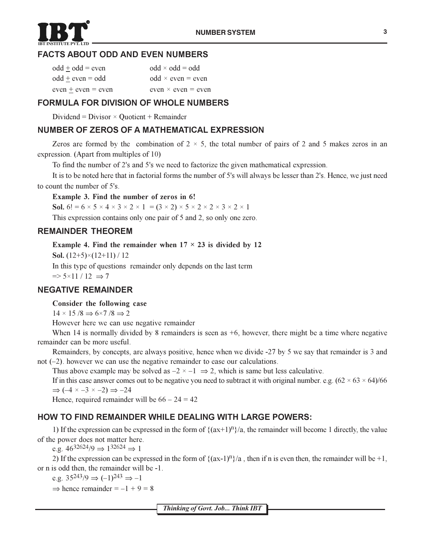

## **FACTS ABOUT ODD AND EVEN NUMBERS**

| $odd \pm odd = even$ | $odd \times odd = odd$      |
|----------------------|-----------------------------|
| $odd + even = odd$   | $odd \times even = even$    |
| $even + even = even$ | even $\times$ even $=$ even |

## **FORMULA FOR DIVISION OF WHOLE NUMBERS**

Dividend = Divisor  $\times$  Quotient + Remainder

## NUMBER OF ZEROS OF A MATHEMATICAL EXPRESSION

Zeros are formed by the combination of  $2 \times 5$ , the total number of pairs of 2 and 5 makes zeros in an expression. (Apart from multiples of 10)

To find the number of 2's and 5's we need to factorize the given mathematical expression.

It is to be noted here that in factorial forms the number of 5's will always be lesser than 2's. Hence, we just need to count the number of 5's.

Example 3. Find the number of zeros in 6!

Sol. 6! =  $6 \times 5 \times 4 \times 3 \times 2 \times 1$  =  $(3 \times 2) \times 5 \times 2 \times 2 \times 3 \times 2 \times 1$ 

This expression contains only one pair of 5 and 2, so only one zero.

## **REMAINDER THEOREM**

Example 4. Find the remainder when  $17 \times 23$  is divided by 12

**Sol.**  $(12+5)\times(12+11)/12$ 

In this type of questions remainder only depends on the last term  $\Rightarrow$  5×11/12  $\Rightarrow$  7

## **NEGATIVE REMAINDER**

## Consider the following case

 $14 \times 15 / 8 \Rightarrow 6 \times 7 / 8 \Rightarrow 2$ 

However here we can use negative remainder

When 14 is normally divided by 8 remainders is seen as  $+6$ , however, there might be a time where negative remainder can be more useful.

Remainders, by concepts, are always positive, hence when we divide -27 by 5 we say that remainder is 3 and not  $(-2)$ . however we can use the negative remainder to ease our calculations.

Thus above example may be solved as  $-2 \times -1 \implies 2$ , which is same but less calculative.

If in this case answer comes out to be negative you need to subtract it with original number. e.g.  $(62 \times 63 \times 64)/66$  $\Rightarrow$  (-4  $\times$  -3  $\times$  -2)  $\Rightarrow$  -24

Hence, required remainder will be  $66 - 24 = 42$ 

## **HOW TO FIND REMAINDER WHILE DEALING WITH LARGE POWERS:**

1) If the expression can be expressed in the form of  $\{(ax+1)^n\}/a$ , the remainder will become 1 directly, the value of the power does not matter here.

e.g.  $46^{32624}/9 \Rightarrow 1^{32624} \Rightarrow 1$ 

2) If the expression can be expressed in the form of  $\{(ax-1)^n\}/a$ , then if n is even then, the remainder will be +1, or n is odd then, the remainder will be -1.

e.g.  $35^{243}/9 \Rightarrow (-1)^{243} \Rightarrow -1$ 

 $\Rightarrow$  hence remainder = -1 + 9 = 8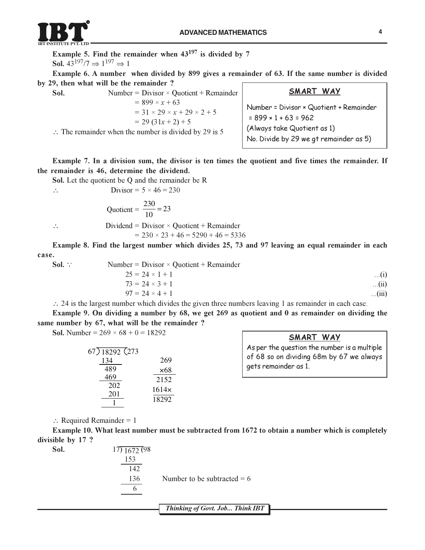

Example 5. Find the remainder when  $43^{197}$  is divided by 7 Sol.  $43^{197}/7 \Rightarrow 1^{197} \Rightarrow 1$ 

Example 6. A number when divided by 899 gives a remainder of 63. If the same number is divided by 29, then what will be the remainder ?

| Sol. | Number = $Divisor \times Quotient + Remainder$                                                                                                                  | SMART WAY                                                                                                                                       |
|------|-----------------------------------------------------------------------------------------------------------------------------------------------------------------|-------------------------------------------------------------------------------------------------------------------------------------------------|
|      | $= 899 \times x + 63$<br>$= 31 \times 29 \times x + 29 \times 2 + 5$<br>$= 29(31x + 2) + 5$<br>$\therefore$ The remainder when the number is divided by 29 is 5 | Number = Divisor × Quotient + Remainder<br>$= 899 \times 1 + 63 = 962$<br>(Always take Quotient as 1)<br>No. Divide by 29 we gt remainder as 5) |

Example 7. In a division sum, the divisor is ten times the quotient and five times the remainder. If the remainder is 46, determine the dividend.

Sol. Let the quotient be Q and the remainder be R

\n∴ Divisor = 
$$
5 \times 46 = 230
$$

\nQuotient =  $\frac{230}{10} = 23$ 

\n∴ Dividend = Divisor × Quotient + Remainder

\n=  $230 \times 23 + 46 = 5290 + 46 = 5336$ 

Example 8. Find the largest number which divides 25, 73 and 97 leaving an equal remainder in each case.

| Sol. $\therefore$ | Number = $Divisor \times Quotient + Remainder$ |            |
|-------------------|------------------------------------------------|------------|
|                   | $25 = 24 \times 1 + 1$                         | $\dots(i)$ |
|                   | $73 = 24 \times 3 + 1$                         | (ii)       |
|                   | $97 = 24 \times 4 + 1$                         | (iii)      |
|                   |                                                |            |

 $\therefore$  24 is the largest number which divides the given three numbers leaving 1 as remainder in each case.

Example 9. On dividing a number by 68, we get 269 as quotient and 0 as remainder on dividing the same number by 67, what will be the remainder ?

**Sol.** Number =  $269 \times 68 + 0 = 18292$ 

| $(67)$ 18292 (273 |       |
|-------------------|-------|
| 134               | 269   |
| 489               | ×68   |
| 469               | 2152  |
| 202               | 1614x |
| 201               | 18292 |
|                   |       |

**SMART WAY** 

As per the question the number is a multiple of 68 so on dividing 68m by 67 we always gets remainder as 1.

 $\therefore$  Required Remainder = 1

Example 10. What least number must be subtracted from 1672 to obtain a number which is completely divisible by 17?

| $\sim$<br>Sol. | $17)$ 1672 (98) |                               |
|----------------|-----------------|-------------------------------|
|                | 153             |                               |
|                | 142             |                               |
|                | 136             | Number to be subtracted $= 6$ |
|                |                 |                               |
|                |                 |                               |

Thinking of Govt. Job... Think IBT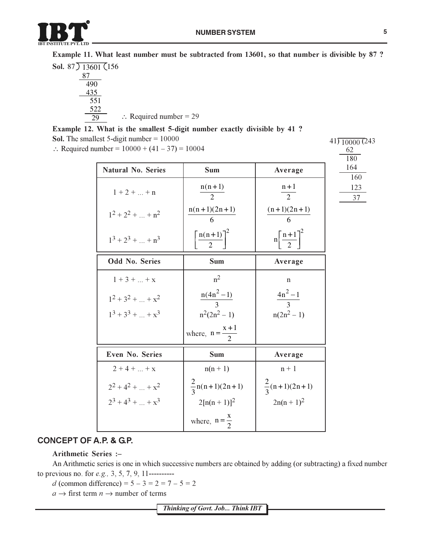

Example 11. What least number must be subtracted from 13601, so that number is divisible by 87 ?

Sol.  $87)$  13601 (156  $\frac{87}{5}$ 490 435  $\overline{551}$ 522  $\therefore$  Required number = 29 29

## Example 12. What is the smallest 5-digit number exactly divisible by 41 ?

**Sol.** The smallest 5-digit number =  $10000$ 

:. Required number =  $10000 + (41 - 37) = 10004$ 

|                           |                                         |                                 | 180        |
|---------------------------|-----------------------------------------|---------------------------------|------------|
| <b>Natural No. Series</b> | <b>Sum</b>                              | Average                         | 164<br>160 |
| $1 + 2 +  + n$            | $n(n+1)$<br>$\mathcal{D}$               | $n+1$<br>$\overline{2}$         | 123<br>37  |
| $1^2 + 2^2 +  + n^2$      | $n(n+1)(2n+1)$<br>6                     | $(n+1)(2n+1)$<br>6              |            |
| $1^3 + 2^3 +  + n^3$      | $n(n+1)$ <sup>2</sup><br>$\overline{2}$ | $n\left[\frac{n+1}{2}\right]^2$ |            |
| <b>Odd No. Series</b>     | <b>Sum</b>                              | Average                         |            |
| $1 + 3 +  + x$            | $n^2$                                   | $\mathbf n$                     |            |
| $1^2 + 3^2 +  + x^2$      | $\frac{n(4n^2-1)}{3}$                   | $\frac{4n^2-1}{3}$              |            |
| $1^3 + 3^3 +  + x^3$      | $n^2(2n^2 - 1)$                         | $n(2n^2 - 1)$                   |            |
|                           | where, $n = \frac{x+1}{2}$              |                                 |            |
| <b>Even No. Series</b>    | <b>Sum</b>                              | Average                         |            |
| $2 + 4 +  + x$            | $n(n + 1)$                              | $n + 1$                         |            |
| $2^2 + 4^2 +  + x^2$      | $\frac{2}{3}$ n(n+1)(2n+1)              | $\frac{2}{3}(n+1)(2n+1)$        |            |
| $2^3 + 4^3 +  + x^3$      | $2[n(n + 1)]^2$                         | $2n(n + 1)^2$                   |            |
|                           | where, $n = \frac{x}{2}$                |                                 |            |

## **CONCEPT OF A.P. & G.P.**

### Arithmetic Series :-

An Arithmetic series is one in which successive numbers are obtained by adding (or subtracting) a fixed number to previous no. for *e.g.*, 3, 5, 7, 9, 11----------

d (common difference) =  $5 - 3 = 2 = 7 - 5 = 2$ 

 $a \rightarrow$  first term  $n \rightarrow$  number of terms

 $41)$   $10000$  (243

62